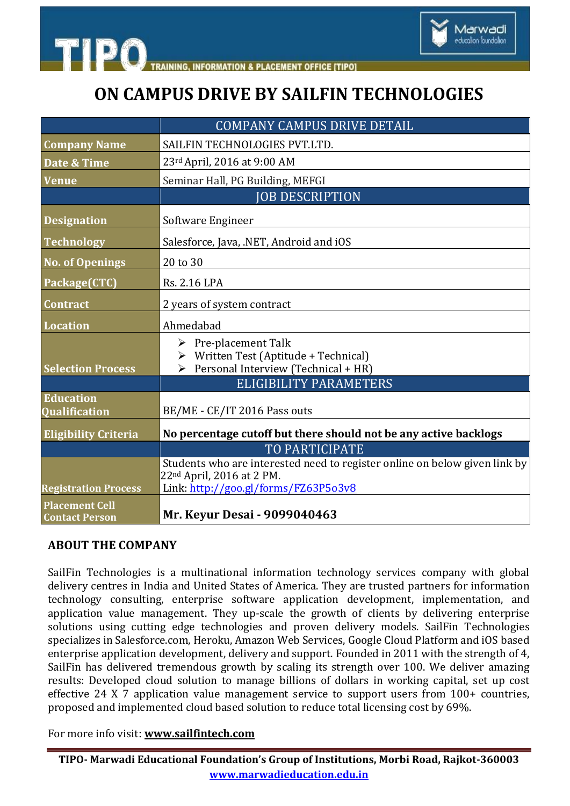

## **ON CAMPUS DRIVE BY SAILFIN TECHNOLOGIES**

Marwadi ducation foundation

|                                                | <b>COMPANY CAMPUS DRIVE DETAIL</b>                                                                                  |
|------------------------------------------------|---------------------------------------------------------------------------------------------------------------------|
| <b>Company Name</b>                            | SAILFIN TECHNOLOGIES PVT.LTD.                                                                                       |
| Date & Time                                    | 23rd April, 2016 at 9:00 AM                                                                                         |
| <b>Venue</b>                                   | Seminar Hall, PG Building, MEFGI                                                                                    |
|                                                | <b>JOB DESCRIPTION</b>                                                                                              |
| <b>Designation</b>                             | Software Engineer                                                                                                   |
| <b>Technology</b>                              | Salesforce, Java, .NET, Android and iOS                                                                             |
| <b>No. of Openings</b>                         | 20 to 30                                                                                                            |
| Package(CTC)                                   | Rs. 2.16 LPA                                                                                                        |
| <b>Contract</b>                                | 2 years of system contract                                                                                          |
| <b>Location</b>                                | Ahmedabad                                                                                                           |
|                                                | $\triangleright$ Pre-placement Talk<br>$\triangleright$ Written Test (Aptitude + Technical)                         |
| <b>Selection Process</b>                       | $\triangleright$ Personal Interview (Technical + HR)                                                                |
|                                                | <b>ELIGIBILITY PARAMETERS</b>                                                                                       |
| <b>Education</b><br><b>Qualification</b>       | BE/ME - CE/IT 2016 Pass outs                                                                                        |
| <b>Eligibility Criteria</b>                    | No percentage cutoff but there should not be any active backlogs                                                    |
|                                                | <b>TO PARTICIPATE</b>                                                                                               |
|                                                | Students who are interested need to register online on below given link by<br>22 <sup>nd</sup> April, 2016 at 2 PM. |
| <b>Registration Process</b>                    | Link: http://goo.gl/forms/FZ63P5o3v8                                                                                |
| <b>Placement Cell</b><br><b>Contact Person</b> | Mr. Keyur Desai - 9099040463                                                                                        |

#### **ABOUT THE COMPANY**

SailFin Technologies is a multinational information technology services company with global delivery centres in India and United States of America. They are trusted partners for information technology consulting, enterprise software application development, implementation, and application value management. They up-scale the growth of clients by delivering enterprise solutions using cutting edge technologies and proven delivery models. SailFin Technologies specializes in Salesforce.com, Heroku, Amazon Web Services, Google Cloud Platform and iOS based enterprise application development, delivery and support. Founded in 2011 with the strength of 4, SailFin has delivered tremendous growth by scaling its strength over 100. We deliver amazing results: Developed cloud solution to manage billions of dollars in working capital, set up cost effective 24 X 7 application value management service to support users from 100+ countries, proposed and implemented cloud based solution to reduce total licensing cost by 69%.

For more info visit: **[www.sailfintech.com](http://www.sailfintech.com/)**